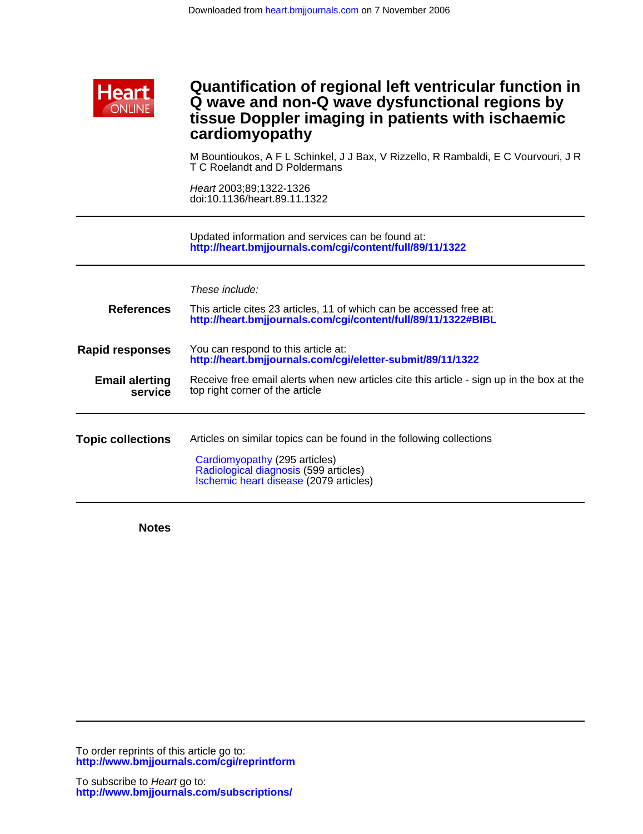

# **cardiomyopathy tissue Doppler imaging in patients with ischaemic Q wave and non-Q wave dysfunctional regions by Quantification of regional left ventricular function in**

T C Roelandt and D Poldermans M Bountioukos, A F L Schinkel, J J Bax, V Rizzello, R Rambaldi, E C Vourvouri, J R

doi:10.1136/heart.89.11.1322 Heart 2003;89;1322-1326

**<http://heart.bmjjournals.com/cgi/content/full/89/11/1322>** Updated information and services can be found at:

These include:

| <b>References</b>                | This article cites 23 articles, 11 of which can be accessed free at:<br>http://heart.bmjjournals.com/cgi/content/full/89/11/1322#BIBL                                                    |
|----------------------------------|------------------------------------------------------------------------------------------------------------------------------------------------------------------------------------------|
| <b>Rapid responses</b>           | You can respond to this article at:<br>http://heart.bmjjournals.com/cgi/eletter-submit/89/11/1322                                                                                        |
| <b>Email alerting</b><br>service | Receive free email alerts when new articles cite this article - sign up in the box at the<br>top right corner of the article                                                             |
| <b>Topic collections</b>         | Articles on similar topics can be found in the following collections<br>Cardiomyopathy (295 articles)<br>Radiological diagnosis (599 articles)<br>Ischemic heart disease (2079 articles) |

**Notes**

**<http://www.bmjjournals.com/cgi/reprintform>** To order reprints of this article go to: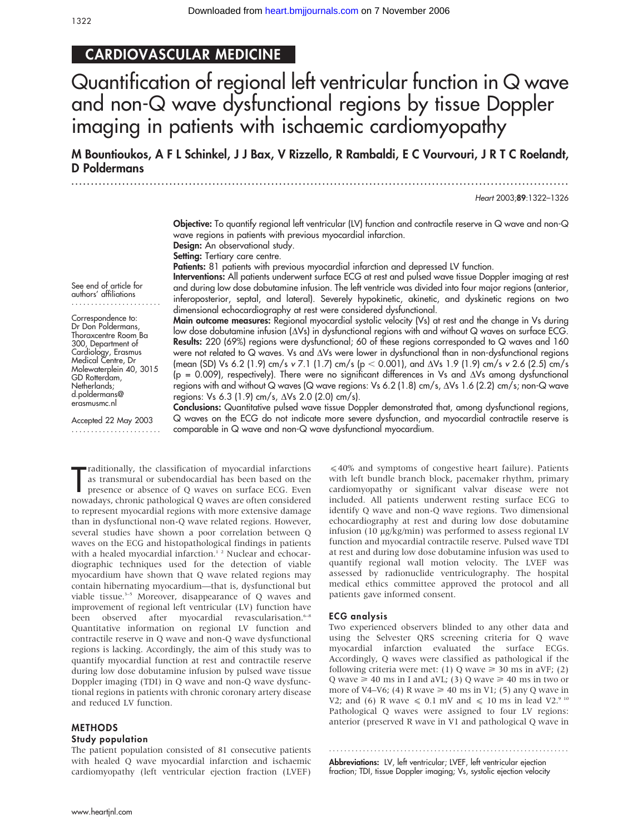# CARDIOVASCULAR MEDICINE

# Quantification of regional left ventricular function in Q wave and non-Q wave dysfunctional regions by tissue Doppler imaging in patients with ischaemic cardiomyopathy

M Bountioukos, A F L Schinkel, J J Bax, V Rizzello, R Rambaldi, E C Vourvouri, J R T C Roelandt, D Poldermans

.............................................................................................................................. .

Heart 2003;89:1322–1326

Objective: To quantify regional left ventricular (LV) function and contractile reserve in Q wave and non-Q wave regions in patients with previous myocardial infarction.

Design: An observational study.

Setting: Tertiary care centre.

Patients: 81 patients with previous myocardial infarction and depressed LV function.

Interventions: All patients underwent surface ECG at rest and pulsed wave tissue Doppler imaging at rest and during low dose dobutamine infusion. The left ventricle was divided into four major regions (anterior, inferoposterior, septal, and lateral). Severely hypokinetic, akinetic, and dyskinetic regions on two dimensional echocardiography at rest were considered dysfunctional.

Main outcome measures: Regional myocardial systolic velocity (Vs) at rest and the change in Vs during low dose dobutamine infusion ( $\Delta Vs$ ) in dysfunctional regions with and without Q waves on surface ECG. Results: 220 (69%) regions were dysfunctional; 60 of these regions corresponded to Q waves and 160 were not related to Q waves. Vs and  $\Delta V$ s were lower in dysfunctional than in non-dysfunctional regions (mean (SD) Vs 6.2 (1.9) cm/s v 7.1 (1.7) cm/s (p < 0.001), and  $\Delta$ Vs 1.9 (1.9) cm/s v 2.6 (2.5) cm/s  $(p = 0.009)$ , respectively). There were no significant differences in Vs and  $\Delta V$ s among dysfunctional regions with and without Q waves (Q wave regions: Vs 6.2 (1.8) cm/s,  $\Delta$ Vs 1.6 (2.2) cm/s; non-Q wave regions: Vs 6.3 (1.9) cm/s,  $\Delta$ Vs 2.0 (2.0) cm/s).

Conclusions: Quantitative pulsed wave tissue Doppler demonstrated that, among dysfunctional regions, Q waves on the ECG do not indicate more severe dysfunction, and myocardial contractile reserve is comparable in Q wave and non-Q wave dysfunctional myocardium.

raditionally, the classification of myocardial mfarctions<br>as transmural or subendocardial has been based on the<br>presence or absence of Q waves on surface ECG. Even<br>nowadays, chronic pathological Q waves are often considere raditionally, the classification of myocardial infarctions as transmural or subendocardial has been based on the presence or absence of Q waves on surface ECG. Even to represent myocardial regions with more extensive damage than in dysfunctional non-Q wave related regions. However, several studies have shown a poor correlation between Q waves on the ECG and histopathological findings in patients with a healed myocardial infarction.<sup>12</sup> Nuclear and echocardiographic techniques used for the detection of viable myocardium have shown that Q wave related regions may contain hibernating myocardium—that is, dysfunctional but viable tissue. $3-5$  Moreover, disappearance of Q waves and improvement of regional left ventricular (LV) function have been observed after myocardial revascularisation.<sup>6-8</sup> Quantitative information on regional LV function and contractile reserve in Q wave and non-Q wave dysfunctional regions is lacking. Accordingly, the aim of this study was to quantify myocardial function at rest and contractile reserve during low dose dobutamine infusion by pulsed wave tissue Doppler imaging (TDI) in Q wave and non-Q wave dysfunctional regions in patients with chronic coronary artery disease and reduced LV function.

### METHODS Study population

The patient population consisted of 81 consecutive patients with healed Q wave myocardial infarction and ischaemic cardiomyopathy (left ventricular ejection fraction (LVEF)

 $\leq 40\%$  and symptoms of congestive heart failure). Patients with left bundle branch block, pacemaker rhythm, primary cardiomyopathy or significant valvar disease were not included. All patients underwent resting surface ECG to identify Q wave and non-Q wave regions. Two dimensional echocardiography at rest and during low dose dobutamine infusion (10 μg/kg/min) was performed to assess regional LV function and myocardial contractile reserve. Pulsed wave TDI at rest and during low dose dobutamine infusion was used to quantify regional wall motion velocity. The LVEF was assessed by radionuclide ventriculography. The hospital medical ethics committee approved the protocol and all patients gave informed consent.

#### ECG analysis

Two experienced observers blinded to any other data and using the Selvester QRS screening criteria for Q wave myocardial infarction evaluated the surface ECGs. Accordingly, Q waves were classified as pathological if the following criteria were met: (1) Q wave  $\geq$  30 ms in aVF; (2) Q wave  $\geq 40$  ms in I and aVL; (3) Q wave  $\geq 40$  ms in two or more of V4–V6; (4) R wave  $\geq$  40 ms in V1; (5) any Q wave in V2; and (6) R wave  $\le 0.1$  mV and  $\le 10$  ms in lead V2.<sup>9 10</sup> Pathological Q waves were assigned to four LV regions: anterior (preserved R wave in V1 and pathological Q wave in

............................................................... . Abbreviations: LV, left ventricular: LVEF, left ventricular ejection fraction; TDI, tissue Doppler imaging; Vs, systolic ejection velocity

Correspondence to: Dr Don Poldermans, Thoraxcentre Room Ba 300, Department of Cardiology, Erasmus Medical Centre, Dr Molewaterplein 40, 3015 GD Rotterdam, Netherlands; d.poldermans@ erasmusmc.nl

See end of article for authors' affiliations .......................

Accepted 22 May 2003 .......................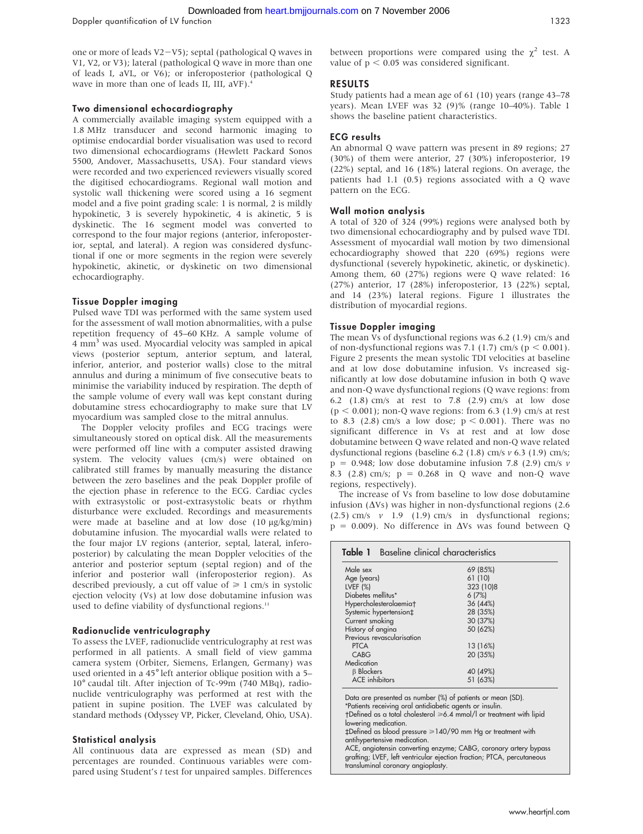one or more of leads  $V2-V5$ ); septal (pathological Q waves in V1, V2, or V3); lateral (pathological Q wave in more than one of leads I, aVL, or V6); or inferoposterior (pathological Q wave in more than one of leads II, III, aVF).4

#### Two dimensional echocardiography

A commercially available imaging system equipped with a 1.8 MHz transducer and second harmonic imaging to optimise endocardial border visualisation was used to record two dimensional echocardiograms (Hewlett Packard Sonos 5500, Andover, Massachusetts, USA). Four standard views were recorded and two experienced reviewers visually scored the digitised echocardiograms. Regional wall motion and systolic wall thickening were scored using a 16 segment model and a five point grading scale: 1 is normal, 2 is mildly hypokinetic, 3 is severely hypokinetic, 4 is akinetic, 5 is dyskinetic. The 16 segment model was converted to correspond to the four major regions (anterior, inferoposterior, septal, and lateral). A region was considered dysfunctional if one or more segments in the region were severely hypokinetic, akinetic, or dyskinetic on two dimensional echocardiography.

#### Tissue Doppler imaging

Pulsed wave TDI was performed with the same system used for the assessment of wall motion abnormalities, with a pulse repetition frequency of 45–60 KHz. A sample volume of 4 mm<sup>3</sup> was used. Myocardial velocity was sampled in apical views (posterior septum, anterior septum, and lateral, inferior, anterior, and posterior walls) close to the mitral annulus and during a minimum of five consecutive beats to minimise the variability induced by respiration. The depth of the sample volume of every wall was kept constant during dobutamine stress echocardiography to make sure that LV myocardium was sampled close to the mitral annulus.

The Doppler velocity profiles and ECG tracings were simultaneously stored on optical disk. All the measurements were performed off line with a computer assisted drawing system. The velocity values (cm/s) were obtained on calibrated still frames by manually measuring the distance between the zero baselines and the peak Doppler profile of the ejection phase in reference to the ECG. Cardiac cycles with extrasystolic or post-extrasystolic beats or rhythm disturbance were excluded. Recordings and measurements were made at baseline and at low dose  $(10 \mu g/kg/min)$ dobutamine infusion. The myocardial walls were related to the four major LV regions (anterior, septal, lateral, inferoposterior) by calculating the mean Doppler velocities of the anterior and posterior septum (septal region) and of the inferior and posterior wall (inferoposterior region). As described previously, a cut off value of  $\geq 1$  cm/s in systolic ejection velocity (Vs) at low dose dobutamine infusion was used to define viability of dysfunctional regions.<sup>11</sup>

#### Radionuclide ventriculography

To assess the LVEF, radionuclide ventriculography at rest was performed in all patients. A small field of view gamma camera system (Orbiter, Siemens, Erlangen, Germany) was used oriented in a 45° left anterior oblique position with a 5-10˚ caudal tilt. After injection of Tc-99m (740 MBq), radionuclide ventriculography was performed at rest with the patient in supine position. The LVEF was calculated by standard methods (Odyssey VP, Picker, Cleveland, Ohio, USA).

#### Statistical analysis

All continuous data are expressed as mean (SD) and percentages are rounded. Continuous variables were compared using Student's t test for unpaired samples. Differences between proportions were compared using the  $\chi^2$  test. A value of  $p < 0.05$  was considered significant.

#### RESULTS

Study patients had a mean age of 61 (10) years (range 43–78 years). Mean LVEF was 32 (9)% (range 10–40%). Table 1 shows the baseline patient characteristics.

#### ECG results

An abnormal Q wave pattern was present in 89 regions; 27 (30%) of them were anterior, 27 (30%) inferoposterior, 19 (22%) septal, and 16 (18%) lateral regions. On average, the patients had 1.1 (0.5) regions associated with a Q wave pattern on the ECG.

#### Wall motion analysis

A total of 320 of 324 (99%) regions were analysed both by two dimensional echocardiography and by pulsed wave TDI. Assessment of myocardial wall motion by two dimensional echocardiography showed that 220 (69%) regions were dysfunctional (severely hypokinetic, akinetic, or dyskinetic). Among them, 60 (27%) regions were Q wave related: 16 (27%) anterior, 17 (28%) inferoposterior, 13 (22%) septal, and 14 (23%) lateral regions. Figure 1 illustrates the distribution of myocardial regions.

#### Tissue Doppler imaging

The mean Vs of dysfunctional regions was 6.2 (1.9) cm/s and of non-dysfunctional regions was 7.1 (1.7) cm/s ( $p < 0.001$ ). Figure 2 presents the mean systolic TDI velocities at baseline and at low dose dobutamine infusion. Vs increased significantly at low dose dobutamine infusion in both Q wave and non-Q wave dysfunctional regions (Q wave regions: from 6.2 (1.8) cm/s at rest to 7.8 (2.9) cm/s at low dose  $(p < 0.001)$ ; non-Q wave regions: from 6.3 (1.9) cm/s at rest to 8.3 (2.8) cm/s a low dose;  $p < 0.001$ ). There was no significant difference in Vs at rest and at low dose dobutamine between Q wave related and non-Q wave related dysfunctional regions (baseline 6.2 (1.8) cm/s v 6.3 (1.9) cm/s;  $p = 0.948$ ; low dose dobutamine infusion 7.8 (2.9) cm/s v 8.3 (2.8) cm/s; p = 0.268 in Q wave and non-Q wave regions, respectively).

The increase of Vs from baseline to low dose dobutamine infusion ( $\Delta Vs$ ) was higher in non-dysfunctional regions (2.6 (2.5) cm/s  $v$  1.9 (1.9) cm/s in dysfunctional regions;  $p = 0.009$ ). No difference in  $\Delta Vs$  was found between Q

| <b>Table 1</b> Baseline clinical characteristics |           |  |  |  |
|--------------------------------------------------|-----------|--|--|--|
| Male sex                                         | 69 (85%)  |  |  |  |
| Age (years)                                      | 61 (10)   |  |  |  |
| LVEF $(%)$                                       | 323 (10)8 |  |  |  |
| Diabetes mellitus*                               | 6(7%)     |  |  |  |
| Hypercholesterolaemiat                           | 36 (44%)  |  |  |  |
| Systemic hypertension‡                           | 28 (35%)  |  |  |  |
| Current smoking                                  | 30 (37%)  |  |  |  |
| History of angina                                | 50 (62%)  |  |  |  |
| Previous revascularisation                       |           |  |  |  |
| <b>PTCA</b>                                      | 13 (16%)  |  |  |  |
| CABG                                             | 20 (35%)  |  |  |  |
| Medication                                       |           |  |  |  |
| <b>B</b> Blockers                                | 40 (49%)  |  |  |  |
| <b>ACE</b> inhibitors                            | 51 (63%)  |  |  |  |
|                                                  |           |  |  |  |

Data are presented as number (%) of patients or mean (SD).

\*Patients receiving oral antidiabetic agents or insulin. †Defined as a total cholesterol ≥6.4 mmol/l or treatment with lipid lowering medication.

`Defined as blood pressure >140/90 mm Hg or treatment with antihypertensive medication.

ACE, angiotensin converting enzyme; CABG, coronary artery bypass grafting; LVEF, left ventricular ejection fraction; PTCA, percutaneous transluminal coronary angioplasty.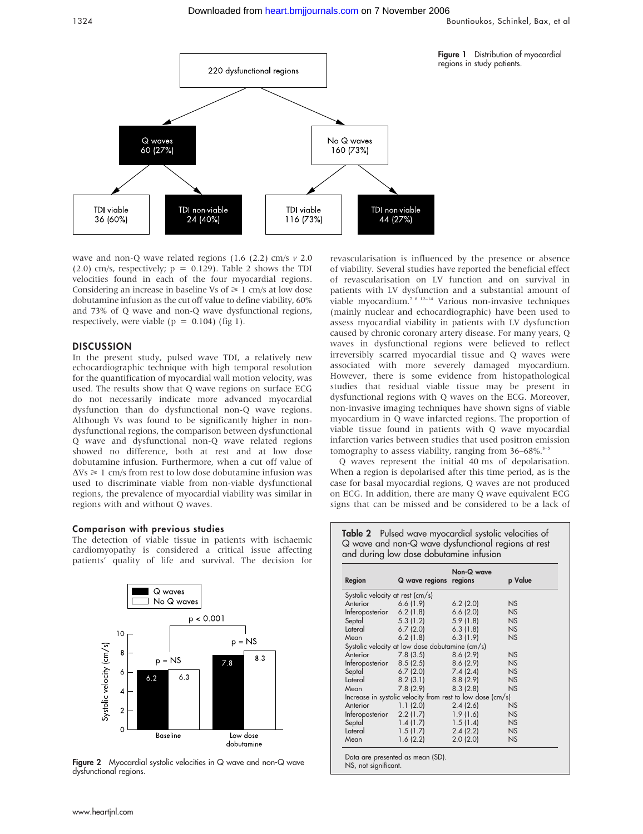#### Downloaded from [heart.bmjjournals.com](http://heart.bmjjournals.com) on 7 November 2006



wave and non-Q wave related regions  $(1.6 (2.2)$  cm/s  $\nu$  2.0 (2.0) cm/s, respectively;  $p = 0.129$ . Table 2 shows the TDI velocities found in each of the four myocardial regions. Considering an increase in baseline Vs of  $\geq 1$  cm/s at low dose dobutamine infusion as the cut off value to define viability, 60% and 73% of Q wave and non-Q wave dysfunctional regions, respectively, were viable ( $p = 0.104$ ) (fig 1).

## **DISCUSSION**

In the present study, pulsed wave TDI, a relatively new echocardiographic technique with high temporal resolution for the quantification of myocardial wall motion velocity, was used. The results show that Q wave regions on surface ECG do not necessarily indicate more advanced myocardial dysfunction than do dysfunctional non-Q wave regions. Although Vs was found to be significantly higher in nondysfunctional regions, the comparison between dysfunctional Q wave and dysfunctional non-Q wave related regions showed no difference, both at rest and at low dose dobutamine infusion. Furthermore, when a cut off value of  $\Delta V_s \geq 1$  cm/s from rest to low dose dobutamine infusion was used to discriminate viable from non-viable dysfunctional regions, the prevalence of myocardial viability was similar in regions with and without Q waves.

## Comparison with previous studies

The detection of viable tissue in patients with ischaemic cardiomyopathy is considered a critical issue affecting patients' quality of life and survival. The decision for



Figure 2 Myocardial systolic velocities in Q wave and non-Q wave dysfunctional regions.

revascularisation is influenced by the presence or absence of viability. Several studies have reported the beneficial effect of revascularisation on LV function and on survival in patients with LV dysfunction and a substantial amount of viable myocardium.<sup>7 8 12-14</sup> Various non-invasive techniques (mainly nuclear and echocardiographic) have been used to assess myocardial viability in patients with LV dysfunction caused by chronic coronary artery disease. For many years, Q waves in dysfunctional regions were believed to reflect irreversibly scarred myocardial tissue and Q waves were associated with more severely damaged myocardium. However, there is some evidence from histopathological studies that residual viable tissue may be present in dysfunctional regions with Q waves on the ECG. Moreover, non-invasive imaging techniques have shown signs of viable myocardium in Q wave infarcted regions. The proportion of viable tissue found in patients with Q wave myocardial infarction varies between studies that used positron emission tomography to assess viability, ranging from  $36-68\%$ .<sup>3-5</sup>

Q waves represent the initial 40 ms of depolarisation. When a region is depolarised after this time period, as is the case for basal myocardial regions, Q waves are not produced on ECG. In addition, there are many Q wave equivalent ECG signs that can be missed and be considered to be a lack of

| Table 2 Pulsed wave myocardial systolic velocities of |
|-------------------------------------------------------|
| Q wave and non-Q wave dysfunctional regions at rest   |
| and during low dose dobutamine infusion               |

| Region                           | Q wave regions regions                          | Non-Q wave                                                 | p Value   |
|----------------------------------|-------------------------------------------------|------------------------------------------------------------|-----------|
| Systolic velocity at rest (cm/s) |                                                 |                                                            |           |
| Anterior                         | 6.6(1.9)                                        | 6.2(2.0)                                                   | NS        |
| Inferoposterior 6.2 (1.8)        |                                                 | 6.6(2.0)                                                   | <b>NS</b> |
| Septal                           | 5.3(1.2)                                        | 5.9(1.8)                                                   | <b>NS</b> |
| Lateral                          | 6.7(2.0)                                        | 6.3(1.8)                                                   | <b>NS</b> |
| Mean                             | 6.2(1.8)                                        | 6.3(1.9)                                                   | NS        |
|                                  | Systolic velocity at low dose dobutamine (cm/s) |                                                            |           |
| Anterior                         | 7.8(3.5)                                        | 8.6(2.9)                                                   | <b>NS</b> |
| Inferoposterior 8.5 (2.5)        |                                                 | 8.6(2.9)                                                   | <b>NS</b> |
| Septal                           | 6.7(2.0)                                        | 7.4(2.4)                                                   | <b>NS</b> |
| Lateral                          | 8.2(3.1)                                        | 8.8(2.9)                                                   | <b>NS</b> |
| Mean                             | 7.8(2.9)                                        | 8.3(2.8)                                                   | <b>NS</b> |
|                                  |                                                 | Increase in systolic velocity from rest to low dose (cm/s) |           |
| Anterior                         | 1.1(2.0)                                        | 2.4(2.6)                                                   | <b>NS</b> |
| Inferoposterior $2.2$ (1.7)      |                                                 | 1.9(1.6)                                                   | <b>NS</b> |
| Septal                           | 1.4(1.7)                                        | 1.5(1.4)                                                   | <b>NS</b> |
| Lateral                          | 1.5(1.7)                                        | 2.4(2.2)                                                   | <b>NS</b> |
| Mean                             | 1.6(2.2)                                        | 2.0(2.0)                                                   | <b>NS</b> |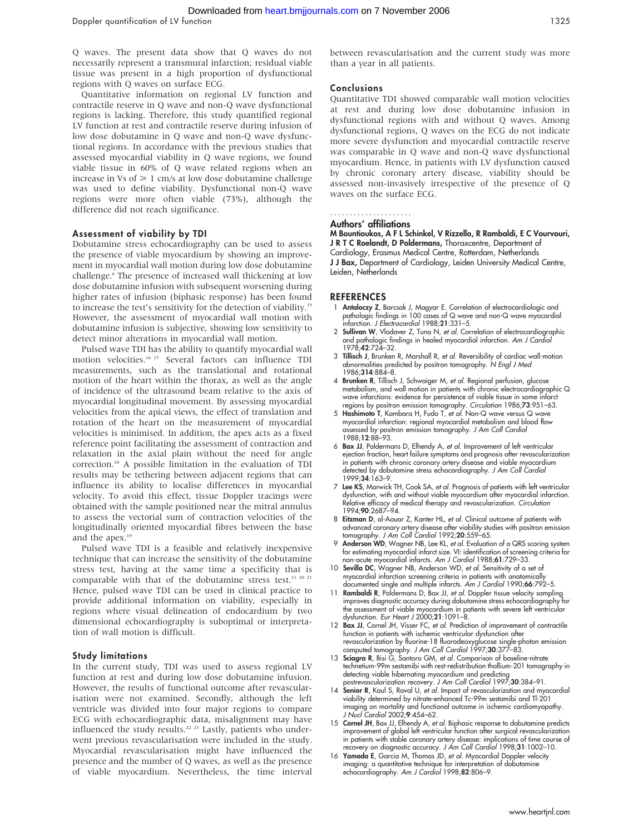Q waves. The present data show that Q waves do not necessarily represent a transmural infarction; residual viable tissue was present in a high proportion of dysfunctional regions with Q waves on surface ECG.

Quantitative information on regional LV function and contractile reserve in Q wave and non-Q wave dysfunctional regions is lacking. Therefore, this study quantified regional LV function at rest and contractile reserve during infusion of low dose dobutamine in Q wave and non-Q wave dysfunctional regions. In accordance with the previous studies that assessed myocardial viability in Q wave regions, we found viable tissue in 60% of Q wave related regions when an increase in Vs of  $\geq 1$  cm/s at low dose dobutamine challenge was used to define viability. Dysfunctional non-Q wave regions were more often viable (73%), although the difference did not reach significance.

#### Assessment of viability by TDI

Dobutamine stress echocardiography can be used to assess the presence of viable myocardium by showing an improvement in myocardial wall motion during low dose dobutamine challenge.<sup>6</sup> The presence of increased wall thickening at low dose dobutamine infusion with subsequent worsening during higher rates of infusion (biphasic response) has been found to increase the test's sensitivity for the detection of viability.15 However, the assessment of myocardial wall motion with dobutamine infusion is subjective, showing low sensitivity to detect minor alterations in myocardial wall motion.

Pulsed wave TDI has the ability to quantify myocardial wall motion velocities.16 17 Several factors can influence TDI measurements, such as the translational and rotational motion of the heart within the thorax, as well as the angle of incidence of the ultrasound beam relative to the axis of myocardial longitudinal movement. By assessing myocardial velocities from the apical views, the effect of translation and rotation of the heart on the measurement of myocardial velocities is minimised. In addition, the apex acts as a fixed reference point facilitating the assessment of contraction and relaxation in the axial plain without the need for angle correction.18 A possible limitation in the evaluation of TDI results may be tethering between adjacent regions that can influence its ability to localise differences in myocardial velocity. To avoid this effect, tissue Doppler tracings were obtained with the sample positioned near the mitral annulus to assess the vectorial sum of contraction velocities of the longitudinally oriented myocardial fibres between the base and the apex.<sup>19</sup>

Pulsed wave TDI is a feasible and relatively inexpensive technique that can increase the sensitivity of the dobutamine stress test, having at the same time a specificity that is comparable with that of the dobutamine stress test.<sup>11 20</sup> <sup>21</sup> Hence, pulsed wave TDI can be used in clinical practice to provide additional information on viability, especially in regions where visual delineation of endocardium by two dimensional echocardiography is suboptimal or interpretation of wall motion is difficult.

#### Study limitations

In the current study, TDI was used to assess regional LV function at rest and during low dose dobutamine infusion. However, the results of functional outcome after revascularisation were not examined. Secondly, although the left ventricle was divided into four major regions to compare ECG with echocardiographic data, misalignment may have influenced the study results.<sup>22</sup> <sup>23</sup> Lastly, patients who underwent previous revascularisation were included in the study. Myocardial revascularisation might have influenced the presence and the number of Q waves, as well as the presence of viable myocardium. Nevertheless, the time interval between revascularisation and the current study was more than a year in all patients.

#### Conclusions

Quantitative TDI showed comparable wall motion velocities at rest and during low dose dobutamine infusion in dysfunctional regions with and without Q waves. Among dysfunctional regions, Q waves on the ECG do not indicate more severe dysfunction and myocardial contractile reserve was comparable in Q wave and non-Q wave dysfunctional myocardium. Hence, in patients with LV dysfunction caused by chronic coronary artery disease, viability should be assessed non-invasively irrespective of the presence of Q waves on the surface ECG.

## .....................

Authors' affiliations

M Bountioukos, A F L Schinkel, V Rizzello, R Rambaldi, E C Vourvouri, J R T C Roelandt, D Poldermans, Thoraxcentre, Department of Cardiology, Erasmus Medical Centre, Rotterdam, Netherlands J J Bax, Department of Cardiology, Leiden University Medical Centre, Leiden, Netherlands

#### REFERENCES

- 1 Antaloczy Z, Barcsak J, Magyar E. Correlation of electrocardiologic and pathologic findings in 100 cases of Q wave and non-Q wave myocardial infarction. J Electrocardiol 1988;21:331–5.
- 2 Sullivan W, Vlodaver Z, Tuna N, et al. Correlation of electrocardiographic and pathologic findings in healed myocardial infarction. Am J Cardiol 1978;42:724–32.
- 3 Tillisch J, Brunken R, Marshall R, et al. Reversibility of cardiac wall-motion abnormalities predicted by positron tomography. N Engl J Med 1986;314:884–8.
- 4 Brunken R, Tillisch J, Schwaiger M, et al. Regional perfusion, glucose metabolism, and wall motion in patients with chronic electrocardiographic Q wave infarctions: evidence for persistence of viable tissue in some infarct regions by positron emission tomography. Circulation 1986;73:951-63.
- 5 Hashimoto T, Kambara H, Fudo T, et al. Non-Q wave versus Q wave myocardial infarction: regional myocardial metabolism and blood flow assessed by positron emission tomography. J Am Coll Cardio.<br>1988;**12**:88–93.
- 6 Bax JJ, Poldermans D, Elhendy A, et al. Improvement of left ventricular ejection fraction, heart failure symptoms and prognosis after revascularization in patients with chronic coronary artery disease and viable myocardium detected by dobutamine stress echocardiography. J Am Coll Cardiol 1999;34:163–9.
- 7 Lee KS, Marwick TH, Cook SA, et al. Prognosis of patients with left ventricular dysfunction, with and without viable myocardium after myocardial infarction. Relative efficacy of medical therapy and revascularization. Circulation 1994;90:2687–94.
- 8 Eitzman D, al-Aouar Z, Kanter HL, et al. Clinical outcome of patients with advanced coronary artery disease after viability studies with positron emission tomography. J Am Coll Cardiol 1992;20:559–65.
- 9 Anderson WD, Wagner NB, Lee KL, et al. Evaluation of a QRS scoring system for estimating myocardial infarct size. VI: identification of screening criteria for non-acute myocardial infarcts. Am J Cardiol 1988;61:729–33.
- 10 Sevilla DC, Wagner NB, Anderson WD, et al. Sensitivity of a set of myocardial infarction screening criteria in patients with anatomically
- documented single and multiple infarcts. Am J Cardiol 1990;**66**:792–5.<br>11 **Rambaldi R**, Poldermans D, Bax JJ, *et al*. Doppler tissue velocity sampling improves diagnostic accuracy during dobutamine stress echocardiography for the assessment of viable myocardium in patients with severe left ventricular dysfunction. Eur Heart J 2000;21:1091-8.
- 12 Bax JJ, Cornel JH, Visser FC, et al. Prediction of improvement of contractile function in patients with ischemic ventricular dysfunction after revascularization by fluorine-18 fluorodeoxyglucose single-photon emission computed tomography. J Am Coll Cardiol 1997;30:377–83.
- 13 Sciagra R, Bisi G, Santoro GM, et al. Comparison of baseline-nitrate technetium-99m sestamibi with rest-redistribution thallium-201 tomography in detecting viable hibernating myocardium and predicting postrevascularization recovery. J Am Coll Cardiol 1997;30:384–91.
- 14 Senior R, Kaul S, Raval U, et al. Impact of revascularization and myocardial viability determined by nitrate-enhanced Tc-99m sestamibi and Tl-201 imaging on mortality and functional outcome in ischemic cardiomyopathy. J Nucl Cardiol 2002;9:454–62.
- 15 Cornel JH, Bax JJ, Elhendy A, et al. Biphasic response to dobutamine predicts improvement of global left ventricular function after surgical revascularization in patients with stable coronary artery disease: implications of time course of recovery on diagnostic accuracy. J Am Coll Cardiol 1998;31:1002-10.
- 16 Yamada E, Garcia M, Thomas JD, et al. Myocardial Doppler velocity imaging: a quantitative technique for interpretation of dobutamine echocardiography. Am J Cardiol 1998;82:806–9.